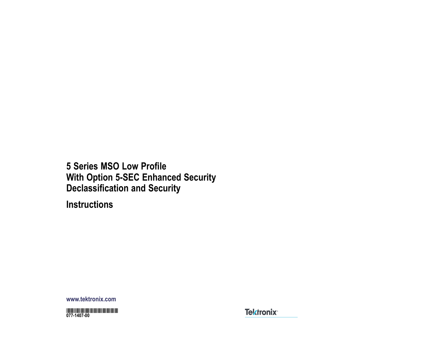**5 Series MSO Low Pro file With Option 5-SEC Enhanced Security Declassi fication and Security**

**Instructions**

**www.tektronix.com**



**Tektronix®**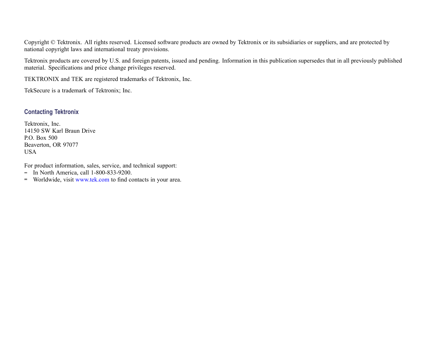Copyright © Tektronix. All rights reserved. Licensed software products are owned by Tektronix or its subsidiaries or suppliers, and are protected by national copyright laws and international treaty provisions.

Tektronix products are covered by U.S. and foreign patents, issued and pending. Information in this publication supersedes that in all previously published material. Specifications and price change privileges reserved.

TEKTRONIX and TEK are registered trademarks of Tektronix, Inc.

TekSecure is <sup>a</sup> trademark of Tektronix; Inc.

#### **Contacting Tektronix**

Tektronix, Inc. 14150 SW Karl Braun Drive P.O. Box 500 Beaverton, OR 97077 USA

For product information, sales, service, and technical support:

- $\blacksquare$  In North America, call 1-800-833-9200.
- Worldwide, visit [www.tek.com](http://www.tek.com/contact) to find contacts in your area.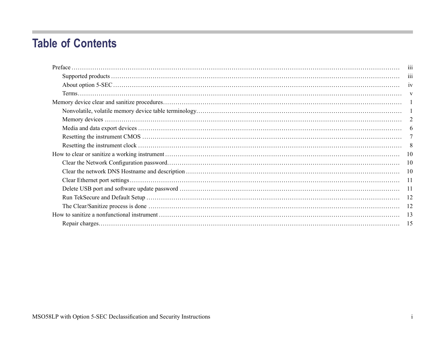# **Table of Contents**

| Preface | 111          |
|---------|--------------|
|         | 111          |
|         | 1V           |
|         | $\mathbf{V}$ |
|         |              |
|         |              |
|         |              |
|         | 6            |
|         |              |
|         |              |
|         |              |
|         | - 10         |
|         | - 10         |
|         |              |
|         |              |
|         |              |
|         |              |
|         |              |
|         |              |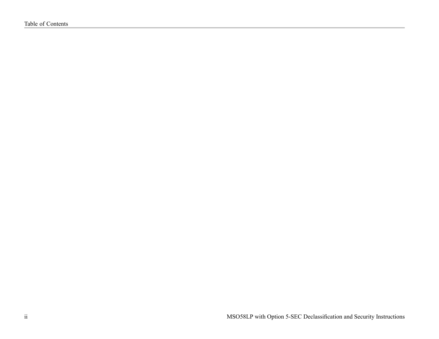Table of Contents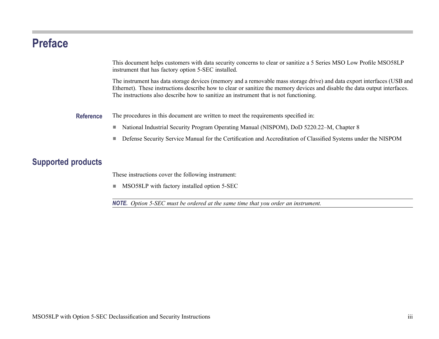# <span id="page-4-0"></span>**Preface**

This document helps customers with data security concerns to clear or sanitize <sup>a</sup> 5 Series MSO Low Profile MSO58LP instrument that has factory option 5-SEC installed.

The instrument has data storage devices (memory and <sup>a</sup> removable mass storage drive) and data expor<sup>t</sup> interfaces (USB and Ethernet). These instructions describe how to clear or sanitize the memory devices and disable the data output interfaces. The instructions also describe how to sanitize an instrument that is not functioning.

**Reference** The procedures in this document are written to meet the requirements specified in:

- National Industrial Security Program Operating Manual (NISPOM), DoD 5220.22–M, Chapter 8  $\mathcal{L}_{\mathcal{A}}$
- Defense Security Service Manual for the Certification and Accreditation of Classified Systems under the NISPOM

## **Supported products**

These instructions cover the following instrument:

**MSO58LP** with factory installed option 5-SEC

NOTE. Option 5-SEC must be ordered at the same time that you order an instrument.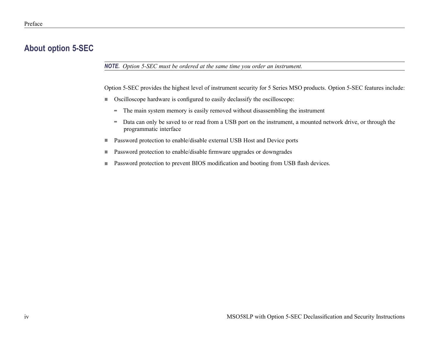## <span id="page-5-0"></span>**About option 5-SEC**

NOTE. Option 5-SEC must be ordered at the same time you order an instrument.

Option 5-SEC provides the highest level of instrument security for 5 Series MSO products. Option 5-SEC features include:

- $\blacksquare$ Oscilloscope hardware is configured to easily declassify the oscilloscope:
	- The main system memory is easily removed without disassembling the instrument
	- Data can only be saved to or read from <sup>a</sup> USB por<sup>t</sup> on the instrument, <sup>a</sup> mounted network drive, or through the programmatic interface
- Password protection to enable/disable external USB Host and Device ports  $\overline{\phantom{a}}$
- Password protection to enable/disable firmware upgrades or downgrades  $\mathcal{L}_{\mathcal{A}}$
- Password protection to preven<sup>t</sup> BIOS modification and booting from USB flash devices.  $\Box$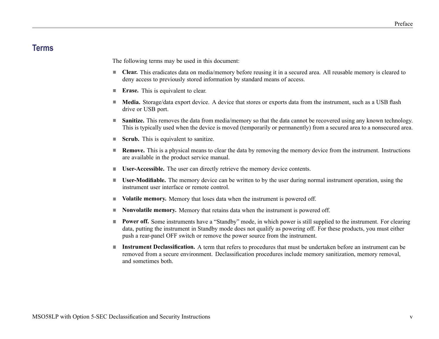### <span id="page-6-0"></span>**Terms**

The following terms may be used in this document:

- **Clear.** This eradicates data on media/memory before reusing it in a secured area. All reusable memory is cleared to deny access to previously stored information by standard means of access.
- **Example 1** Example 1 Example 1 Example 1 Example 1 Example 1 Example 1 Example 1 Example 1 Example 1 Example 1 Example 1 Example 1 Example 1 Example 1 Example 1 Example 1 Example 1 Example 1 Example 1 Example 1 Example 1
- **Media.** Storage/data export device. A device that stores or exports data from the instrument, such as a USB flash drive or USB port.
- **Sanitize.** This removes the data from media/memory so that the data cannot be recovered using any known technology. This is typically used when the device is moved (temporarily or permanently) from <sup>a</sup> secured area to <sup>a</sup> nonsecured area.
- **Scrub.** This is equivalent to sanitize.
- **Remove.** This is a physical means to clear the data by removing the memory device from the instrument. Instructions are available in the product service manual.
- **User-Accessible.** The user can directly retrieve the memory device contents.
- **User-Modifiable.** The memory device can be written to by the user during normal instrument operation, using the  $\Box$ instrument user interface or remote control.
- **Volatile memory.** Memory that loses data when the instrument is powered off. n.
- $\overline{\phantom{a}}$ **Nonvolatile memory.** Memory that retains data when the instrument is powered off.
- **Power off.** Some instruments have a "Standby" mode, in which power is still supplied to the instrument. For clearing data, putting the instrument in Standby mode does not qualify as powering off. For these products, you must either push <sup>a</sup> rear-panel OFF switch or remove the power source from the instrument.
- **Instrument Declassification.** A term that refers to procedures that must be undertaken before an instrument can be removed from <sup>a</sup> secure environment. Declassification procedures include memory sanitization, memory removal, and sometimes both.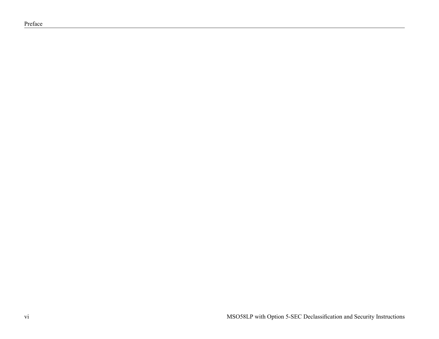Preface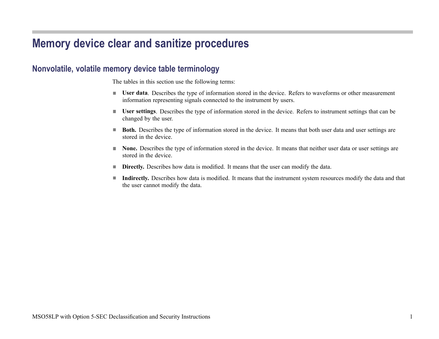# <span id="page-8-0"></span>**Memory device clear and sanitize procedures**

### **Nonvolatile, volatile memory device table terminology**

The tables in this section use the following terms:

- **User data**. Describes the type of information stored in the device. Refers to waveforms or other measurement information representing signals connected to the instrument by users.
- **User settings**. Describes the type of information stored in the device. Refers to instrument settings that can be changed by the user.
- **Both.** Describes the type of information stored in the device. It means that both user data and user settings are stored in the device.
- **None.** Describes the type of information stored in the device. It means that neither user data or user settings are stored in the device.
- **Directly.** Describes how data is modified. It means that the user can modify the data.
- $\mathcal{L}_{\mathcal{A}}$ **Indirectly.** Describes how data is modified. It means that the instrument system resources modify the data and that the user cannot modify the data.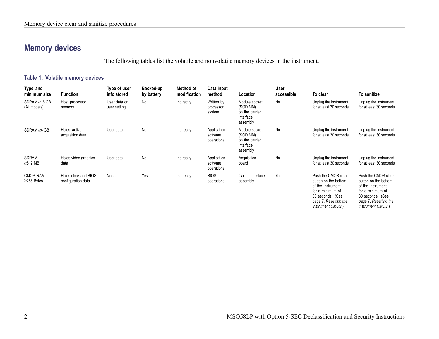# <span id="page-9-0"></span>**Memory devices**

The following tables list the volatile and nonvolatile memory devices in the instrument.

#### **Table 1: Volatile memory devices**

| Type and<br>minimum size          | <b>Function</b>                            | Type of user<br>info stored  | Backed-up<br>by battery | Method of<br>modification | Data input<br>method                  | Location                                                             | User<br>accessible | To clear                                                                                                                                                       | <b>To sanitize</b>                                                                                                                                             |
|-----------------------------------|--------------------------------------------|------------------------------|-------------------------|---------------------------|---------------------------------------|----------------------------------------------------------------------|--------------------|----------------------------------------------------------------------------------------------------------------------------------------------------------------|----------------------------------------------------------------------------------------------------------------------------------------------------------------|
| $SDRAM \ge 16 GB$<br>(All models) | Host processor<br>memory                   | User data or<br>user setting | No                      | Indirectly                | Written by<br>processor<br>system     | Module socket<br>(SODIMM)<br>on the carrier<br>interface<br>assembly | No                 | Unplug the instrument<br>for at least 30 seconds                                                                                                               | Unplug the instrument<br>for at least 30 seconds                                                                                                               |
| SDRAM ≥4 GB                       | Holds active<br>acquisition data           | User data                    | No                      | Indirectly                | Application<br>software<br>operations | Module socket<br>(SODIMM)<br>on the carrier<br>interface<br>assembly | No                 | Unplug the instrument<br>for at least 30 seconds                                                                                                               | Unplug the instrument<br>for at least 30 seconds                                                                                                               |
| <b>SDRAM</b><br>≥512 MB           | Holds video graphics<br>data               | User data                    | No                      | Indirectly                | Application<br>software<br>operations | Acquisition<br>board                                                 | No                 | Unplug the instrument<br>for at least 30 seconds                                                                                                               | Unplug the instrument<br>for at least 30 seconds                                                                                                               |
| <b>CMOS RAM</b><br>$≥256$ Bytes   | Holds clock and BIOS<br>configuration data | None                         | Yes                     | Indirectly                | <b>BIOS</b><br>operations             | Carrier interface<br>assembly                                        | Yes                | Push the CMOS clear<br>button on the bottom<br>of the instrument<br>for a minimum of<br>30 seconds. (See<br>page 7, Resetting the<br><i>instrument CMOS.</i> ) | Push the CMOS clear<br>button on the bottom<br>of the instrument<br>for a minimum of<br>30 seconds. (See<br>page 7, Resetting the<br><i>instrument CMOS.</i> ) |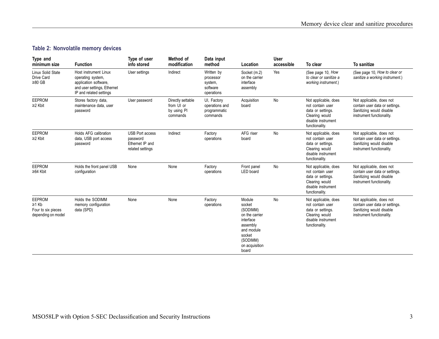#### **Table 2: Nonvolatile memory devices**

| Type and<br>minimum size                                          | <b>Function</b>                                                                                                               | Type of user<br>info stored                                               | Method of<br>modification                                  | Data input<br>method                                         | Location                                                                                                                               | <b>User</b><br>accessible | To clear                                                                                                                | To sanitize                                                                                                         |
|-------------------------------------------------------------------|-------------------------------------------------------------------------------------------------------------------------------|---------------------------------------------------------------------------|------------------------------------------------------------|--------------------------------------------------------------|----------------------------------------------------------------------------------------------------------------------------------------|---------------------------|-------------------------------------------------------------------------------------------------------------------------|---------------------------------------------------------------------------------------------------------------------|
| Linux Solid State<br>Drive Card<br>$\geq 80$ GB                   | Host instrument Linux<br>operating system,<br>application software,<br>and user settings, Ethernet<br>IP and related settings | User settings                                                             | Indirect                                                   | Written by<br>processor<br>system,<br>software<br>operations | Socket (m.2)<br>on the carrier<br>interface<br>assembly                                                                                | Yes                       | (See page 10, How<br>to clear or sanitize a<br>working instrument.)                                                     | (See page 10, How to clear or<br>sanitize a working instrument.)                                                    |
| EEPROM<br>$≥2$ Kbit                                               | Stores factory data,<br>maintenance data, user<br>password                                                                    | User password                                                             | Directly settable<br>from UI or<br>by using PI<br>commands | UI, Factory<br>operations and<br>programmatic<br>commands    | Acquisition<br>board                                                                                                                   | <b>No</b>                 | Not applicable, does<br>not contain user<br>data or settings.<br>Clearing would<br>disable instrument<br>functionality. | Not applicable, does not<br>contain user data or settings.<br>Sanitizing would disable<br>instrument functionality. |
| EEPROM<br>$≥2$ Kbit                                               | Holds AFG calibration<br>data, USB port access<br>password                                                                    | <b>USB Port access</b><br>password<br>Ethernet IP and<br>related settings | Indirect                                                   | Factory<br>operations                                        | AFG riser<br>board                                                                                                                     | <b>No</b>                 | Not applicable, does<br>not contain user<br>data or settings.<br>Clearing would<br>disable instrument<br>functionality. | Not applicable, does not<br>contain user data or settings.<br>Sanitizing would disable<br>instrument functionality. |
| EEPROM<br>$≥64$ Kbit                                              | Holds the front panel USB<br>configuration                                                                                    | None                                                                      | None                                                       | Factory<br>operations                                        | Front panel<br>LED board                                                                                                               | No                        | Not applicable, does<br>not contain user<br>data or settings.<br>Clearing would<br>disable instrument<br>functionality. | Not applicable, does not<br>contain user data or settings.<br>Sanitizing would disable<br>instrument functionality. |
| EEPROM<br>$\geq$ 1 Kb<br>Four to six pieces<br>depending on model | Holds the SODIMM<br>memory configuration<br>data (SPD)                                                                        | None                                                                      | None                                                       | Factory<br>operations                                        | Module<br>socket<br>(SODIMM)<br>on the carrier<br>interface<br>assembly<br>and module<br>socket<br>(SODIMM)<br>on acquisition<br>board | <b>No</b>                 | Not applicable, does<br>not contain user<br>data or settings.<br>Clearing would<br>disable instrument<br>functionality. | Not applicable, does not<br>contain user data or settings.<br>Sanitizing would disable<br>instrument functionality. |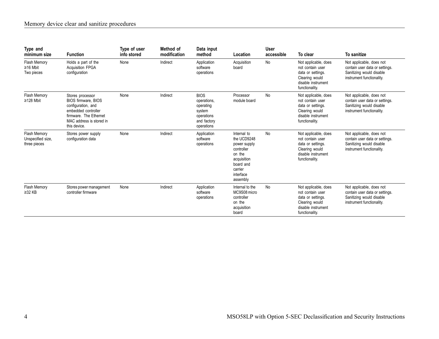#### Memory device clear and sanitize procedures

| Type and<br>minimum size                          | <b>Function</b>                                                                                                                                                   | Type of user<br>info stored | Method of<br>modification | Data input<br>method                                                                         | Location                                                                                                                           | <b>User</b><br>accessible | To clear                                                                                                                | To sanitize                                                                                                         |
|---------------------------------------------------|-------------------------------------------------------------------------------------------------------------------------------------------------------------------|-----------------------------|---------------------------|----------------------------------------------------------------------------------------------|------------------------------------------------------------------------------------------------------------------------------------|---------------------------|-------------------------------------------------------------------------------------------------------------------------|---------------------------------------------------------------------------------------------------------------------|
| Flash Memory<br>$≥16$ Mbit<br>Two pieces          | Holds a part of the<br><b>Acquisition FPGA</b><br>configuration                                                                                                   | None                        | Indirect                  | Application<br>software<br>operations                                                        | Acquisition<br>board                                                                                                               | No                        | Not applicable, does<br>not contain user<br>data or settings.<br>Clearing would<br>disable instrument<br>functionality. | Not applicable, does not<br>contain user data or settings.<br>Sanitizing would disable<br>instrument functionality. |
| Flash Memory<br>$≥128$ Mbit                       | Stores processor<br><b>BIOS firmware, BIOS</b><br>configuration, and<br>embedded controller<br>firmware. The Ethernet<br>MAC address is stored in<br>this device. | None                        | Indirect                  | <b>BIOS</b><br>operations,<br>operating<br>system<br>operations<br>and factory<br>operations | Processor<br>module board                                                                                                          | <b>No</b>                 | Not applicable, does<br>not contain user<br>data or settings.<br>Clearing would<br>disable instrument<br>functionality. | Not applicable, does not<br>contain user data or settings.<br>Sanitizing would disable<br>instrument functionality. |
| Flash Memory<br>Unspecified size,<br>three pieces | Stores power supply<br>configuration data                                                                                                                         | None                        | Indirect                  | Application<br>software<br>operations                                                        | Internal to<br>the UCD9248<br>power supply<br>controller<br>on the<br>acquisition<br>board and<br>carrier<br>interface<br>assembly | <b>No</b>                 | Not applicable, does<br>not contain user<br>data or settings.<br>Clearing would<br>disable instrument<br>functionality. | Not applicable, does not<br>contain user data or settings.<br>Sanitizing would disable<br>instrument functionality. |
| Flash Memory<br>$\geq$ 32 KB                      | Stores power management<br>controller firmware                                                                                                                    | None                        | Indirect                  | Application<br>software<br>operations                                                        | Internal to the<br>MC9S08 micro<br>controller<br>on the<br>acquisition<br>board                                                    | No                        | Not applicable, does<br>not contain user<br>data or settings.<br>Clearing would<br>disable instrument<br>functionality. | Not applicable, does not<br>contain user data or settings.<br>Sanitizing would disable<br>instrument functionality. |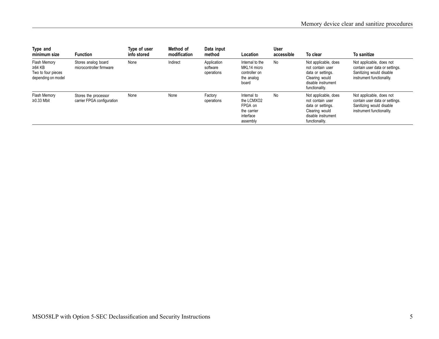| Type and<br>minimum size                                           | <b>Function</b>                                    | Type of user<br>info stored | Method of<br>modification | Data input<br>method                  | <b>Location</b>                                                              | User<br>accessible | To clear                                                                                                                | To sanitize                                                                                                         |
|--------------------------------------------------------------------|----------------------------------------------------|-----------------------------|---------------------------|---------------------------------------|------------------------------------------------------------------------------|--------------------|-------------------------------------------------------------------------------------------------------------------------|---------------------------------------------------------------------------------------------------------------------|
| Flash Memory<br>≥64 KB<br>Two to four pieces<br>depending on model | Stores analog board<br>microcontroller firmware    | None                        | Indirect                  | Application<br>software<br>operations | Internal to the<br>MKL14 micro<br>controller on<br>the analog<br>board       | No                 | Not applicable, does<br>not contain user<br>data or settings.<br>Clearing would<br>disable instrument<br>functionality. | Not applicable, does not<br>contain user data or settings.<br>Sanitizing would disable<br>instrument functionality. |
| Flash Memory<br>$\geq$ 0.33 Mbit                                   | Stores the processor<br>carrier FPGA configuration | None                        | None                      | Factory<br>operations                 | Internal to<br>the LCMXO2<br>FPGA on<br>the carrier<br>interface<br>assembly | No                 | Not applicable, does<br>not contain user<br>data or settings.<br>Clearing would<br>disable instrument<br>functionality. | Not applicable, does not<br>contain user data or settings.<br>Sanitizing would disable<br>instrument functionality. |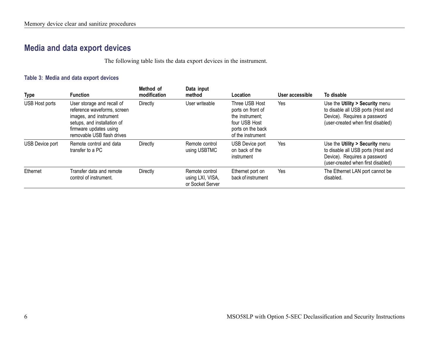# <span id="page-13-0"></span>**Media and data export devices**

The following table lists the data expor<sup>t</sup> devices in the instrument.

#### **Table 3: Media and data export devices**

| <b>Type</b>            | <b>Function</b>                                                                                                                                                            | Method of<br>modification | Data input<br>method                                   | Location                                                                                                          | User accessible | To disable                                                                                                                                  |
|------------------------|----------------------------------------------------------------------------------------------------------------------------------------------------------------------------|---------------------------|--------------------------------------------------------|-------------------------------------------------------------------------------------------------------------------|-----------------|---------------------------------------------------------------------------------------------------------------------------------------------|
| <b>USB Host ports</b>  | User storage and recall of<br>reference waveforms, screen<br>images, and instrument<br>setups, and installation of<br>firmware updates using<br>removable USB flash drives | Directly                  | User writeable                                         | Three USB Host<br>ports on front of<br>the instrument:<br>four USB Host<br>ports on the back<br>of the instrument | Yes             | Use the Utility > Security menu<br>to disable all USB ports (Host and<br>Device). Requires a password<br>(user-created when first disabled) |
| <b>USB Device port</b> | Remote control and data<br>transfer to a PC                                                                                                                                | Directly                  | Remote control<br>using USBTMC                         | <b>USB Device port</b><br>on back of the<br>instrument                                                            | Yes             | Use the Utility > Security menu<br>to disable all USB ports (Host and<br>Device). Requires a password<br>(user-created when first disabled) |
| Ethernet               | Transfer data and remote<br>control of instrument.                                                                                                                         | Directly                  | Remote control<br>using LXI, VISA,<br>or Socket Server | Ethernet port on<br>back of instrument                                                                            | Yes             | The Ethernet LAN port cannot be<br>disabled.                                                                                                |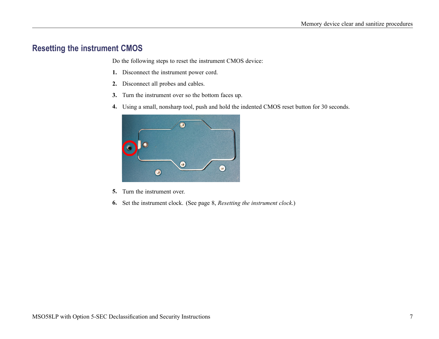# <span id="page-14-0"></span>**Resetting the instrument CMOS**

Do the following steps to reset the instrument CMOS device:

- **1.** Disconnect the instrument power cord.
- **2.** Disconnect all probes and cables.
- **3.** Turn the instrument over so the bottom faces up.
- **4.** Using <sup>a</sup> small, nonsharp tool, push and hold the indented CMOS reset button for 30 seconds.



- **5.** Turn the instrument over.
- **6.** Set the instrument clock. [\(See](#page-15-0) page [8](#page-15-0), *[Resetting](#page-15-0) the instrument clock*.)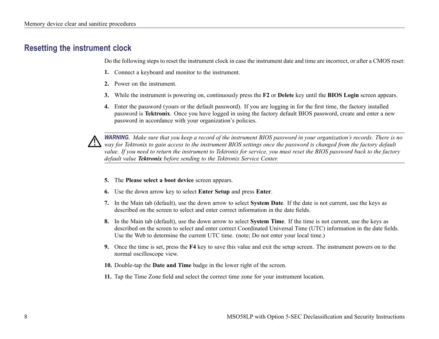## <span id="page-15-0"></span>**Resetting the instrument clock**

Do the following steps to reset the instrument clock in case the instrument date and time are incorrect, or after <sup>a</sup> CMOS reset:

- **1.** Connect <sup>a</sup> keyboard and monitor to the instrument.
- **2.** Power on the instrument.
- **3.** While the instrument is powering on, continuously press the **F2** or **Delete** key until the **BIOS Login** screen appears.
- **4.** Enter the password (yours or the default password). If you are logging in for the first time, the factory installed password is **Tektronix**. Once you have logged in using the factory default BIOS password, create and enter <sup>a</sup> new password in accordance with your organization's policies.



**WARNING.** Make sure that you keep a record of the instrument BIOS password in your organization's records. There is no way for Tektronix to gain access to the instrument BIOS settings once the password is changed from the factory default value. If you need to return the instrument to Tektronix for service, you must reset the BIOS password back to the factory *default value Tektronix before sending to the Tektronix Service Center.*

- **5.** The **Please select <sup>a</sup> boot device** screen appears.
- **6.** Use the down arrow key to select **Enter Setup** and press **Enter**.
- **7.** In the Main tab (default), use the down arrow to select **System Date**. If the date is not current, use the keys as described on the screen to select and enter correct information in the date fields.
- **8.** In the Main tab (default), use the down arrow to select **System Time**. If the time is not current, use the keys as described on the screen to select and enter correct Coordinated Universal Time (UTC) information in the date fields. Use the Web to determine the current UTC time. (note; Do not enter your local time.)
- **9.** Once the time is set, press the **F4** key to save this value and exit the setup screen. The instrument powers on to the normal oscilloscope view.
- **10.** Double-tap the **Date and Time** badge in the lower right of the screen.
- **11.** Tap the Time Zone field and select the correct time zone for your instrument location.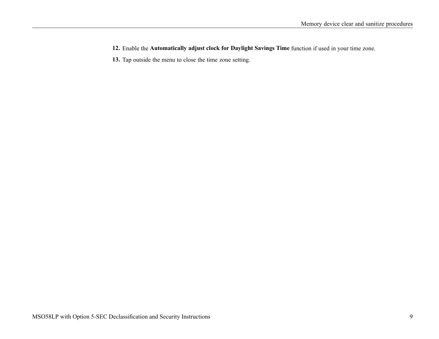- **12.** Enable the **Automatically adjust clock for Daylight Savings Time** function if used in your time zone.
- **13.** Tap outside the menu to close the time zone setting.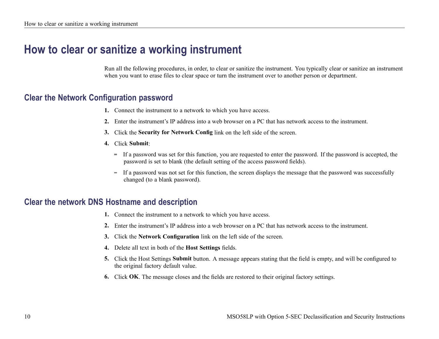# <span id="page-17-0"></span>**How to clear or sanitize <sup>a</sup> working instrument**

Run all the following procedures, in order, to clear or sanitize the instrument. You typically clear or sanitize an instrument when you want to erase files to clear space or turn the instrument over to another person or department.

### **Clear the Network Configuration password**

- **1.** Connect the instrument to <sup>a</sup> network to which you have access.
- **2.** Enter the instrument's IP address into <sup>a</sup> web browser on <sup>a</sup> PC that has network access to the instrument.
- **3.** Click the **Security for Network Config** link on the left side of the screen.
- **4.** Click **Submit**:
	- If <sup>a</sup> password was set for this function, you are requested to enter the password. If the password is accepted, the password is set to blank (the default setting of the access password fields).
	- If <sup>a</sup> password was not set for this function, the screen displays the message that the password was successfully changed (to <sup>a</sup> blank password).

# **Clear the network DNS Hostname and description**

- **1.** Connect the instrument to <sup>a</sup> network to which you have access.
- **2.** Enter the instrument's IP address into <sup>a</sup> web browser on <sup>a</sup> PC that has network access to the instrument.
- **3.** Click the **Network Configuration** link on the left side of the screen.
- **4.** Delete all text in both of the **Host Settings** fields.
- **5.** Click the Host Settings **Submit** button. A message appears stating that the field is empty, and will be configured to the original factory default value.
- **6.** Click **OK**. The message closes and the fields are restored to their original factory settings.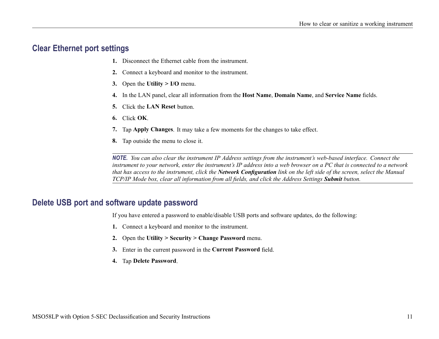### <span id="page-18-0"></span>**Clear Ethernet port settings**

- **1.** Disconnect the Ethernet cable from the instrument.
- **2.** Connect <sup>a</sup> keyboard and monitor to the instrument.
- **3.** Open the Utility  $> I/O$  menu.
- **4.** In the LAN panel, clear all information from the **Host Name**, **Domain Name**, and **Service Name** fields.
- **5.** Click the **LAN Reset** button.
- **6.** Click **OK**.
- **7.** Tap **Apply Changes**. It may take <sup>a</sup> few moments for the changes to take effect.
- **8.** Tap outside the menu to close it.

NOTE. You can also clear the instrument IP Address settings from the instrument's web-based interface. Connect the instrument to your network, enter the instrument's IP address into a web browser on a PC that is connected to a network that has access to the instrument, click the Network Configuration link on the left side of the screen, select the Manual TCP/IP Mode box, clear all information from all fields, and click the Address Settings Submit button.

### **Delete USB port and software update password**

If you have entered <sup>a</sup> password to enable/disable USB ports and software updates, do the following:

- **1.** Connect <sup>a</sup> keyboard and monitor to the instrument.
- **2.** Open the **Utility <sup>&</sup>gt; Security <sup>&</sup>gt; Change Password** menu.
- **3.** Enter in the current password in the **Current Password** field.
- **4.** Tap **Delete Password**.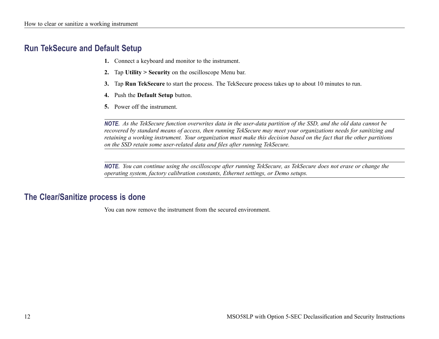## <span id="page-19-0"></span>**Run TekSecure and Default Setup**

- **1.** Connect <sup>a</sup> keyboard and monitor to the instrument.
- **2.** Tap **Utility <sup>&</sup>gt; Security** on the oscilloscope Menu bar.
- **3.** Tap **Run TekSecure** to start the process. The TekSecure process takes up to about 10 minutes to run.
- **4.** Push the **Default Setup** button.
- **5.** Power off the instrument.

NOTE. As the TekSecure function overwrites data in the user-data partition of the SSD, and the old data cannot be recovered by standard means of access, then running TekSecure may meet your organizations needs for sanitizing and retaining a working instrument. Your organization must make this decision based on the fact that the other partitions on the SSD retain some user-related data and files after running TekSecure.

NOTE. You can continue using the oscilloscope after running TekSecure, as TekSecure does not erase or change the operating system, factory calibration constants, Ethernet settings, or Demo setups.

### **The Clear/Sanitize process is done**

You can now remove the instrument from the secured environment.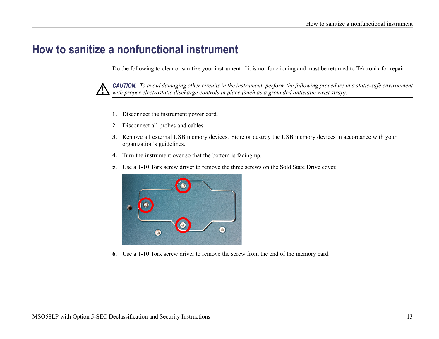# <span id="page-20-0"></span>**How to sanitize a nonfunctional instrument**

Do the following to clear or sanitize your instrument if it is not functioning and must be returned to Tektronix for repair:



**CAUTION.** To avoid damaging other circuits in the instrument, perform the following procedure in a static-safe environment with proper electrostatic discharge controls in place (such as a grounded antistatic wrist strap).

- **1.** Disconnect the instrument power cord.
- **2.** Disconnect all probes and cables.
- **3.** Remove all external USB memory devices. Store or destroy the USB memory devices in accordance with your organization's guidelines.
- **4.** Turn the instrument over so that the bottom is facing up.
- **5.** Use <sup>a</sup> T-10 Torx screw driver to remove the three screws on the Sold State Drive cover.



**6.** Use <sup>a</sup> T-10 Torx screw driver to remove the screw from the end of the memory card.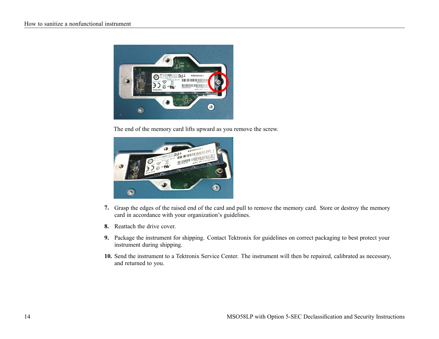

The end of the memory card lifts upward as you remove the screw.



- **7.** Grasp the edges of the raised end of the card and pull to remove the memory card. Store or destroy the memory card in accordance with your organization's guidelines.
- **8.** Reattach the drive cover.
- **9.** Package the instrument for shipping. Contact Tektronix for guidelines on correct packaging to best protect your instrument during shipping.
- **10.** Send the instrument to <sup>a</sup> Tektronix Service Center. The instrument will then be repaired, calibrated as necessary, and returned to you.